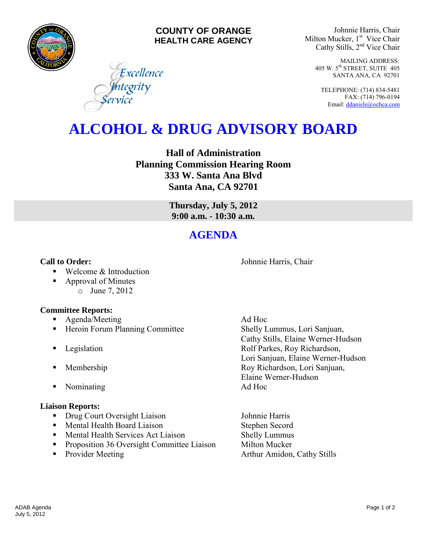

### **COUNTY OF ORANGE HEALTH CARE AGENCY**

Excellence

<mark>I</mark>ntegrity<br>ervice

Johnnie Harris, Chair Milton Mucker, 1<sup>st</sup> Vice Chair Cathy Stills, 2nd Vice Chair

> MAILING ADDRESS: 405 W. 5th STREET, SUITE 405 SANTA ANA, CA 92701

TELEPHONE: (714) 834-5481 FAX: (714) 796-0194 Email[: ddaniels@ochca.com](mailto:ddaniels@ochca.com)

# **ALCOHOL & DRUG ADVISORY BOARD**

**Hall of Administration Planning Commission Hearing Room 333 W. Santa Ana Blvd Santa Ana, CA 92701** 

> **Thursday, July 5, 2012 9:00 a.m. - 10:30 a.m.**

## **AGENDA**

**Call to Order: Call to Order: Johnnie Harris, Chair** 

- Welcome & Introduction
- Approval of Minutes o June 7, 2012

#### **Committee Reports:**

- **Agenda/Meeting Ad Hoc**
- **Heroin Forum Planning Committee Shelly Lummus, Lori Sanjuan,**
- 
- 
- Nominating Ad Hoc

#### **Liaison Reports:**

- Drug Court Oversight Liaison Johnnie Harris
- **Mental Health Board Liaison** Stephen Secord
- Mental Health Services Act Liaison Shelly Lummus
- **•** Proposition 36 Oversight Committee Liaison Milton Mucker
- 

 Cathy Stills, Elaine Werner-Hudson **Example 3** Legislation **Rolf Parkes, Roy Richardson,** Lori Sanjuan, Elaine Werner-Hudson **Membership Roy Richardson, Lori Sanjuan,** Elaine Werner-Hudson

• Provider Meeting **Arthur Amidon, Cathy Stills**